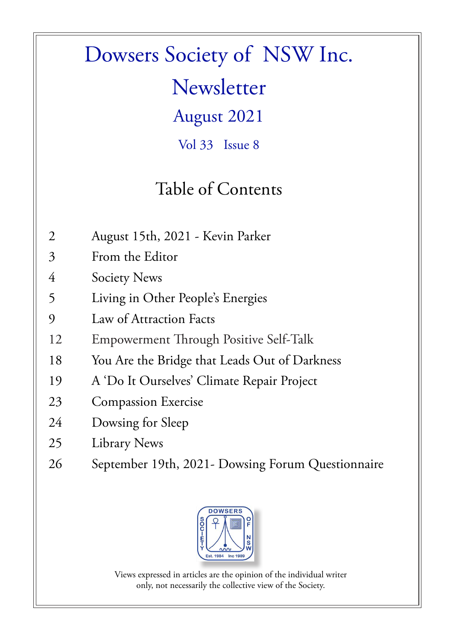### Dowsers Society of NSW Inc.

**Newsletter** 

August 2021

Vol 33 Issue 8

### Table of Contents

- 2 August 15th, 2021 Kevin Parker
- 3 From the Editor
- 4 Society News
- 5 Living in Other People's Energies
- 9 Law of Attraction Facts
- 12 Empowerment Through Positive Self-Talk
- 18 You Are the Bridge that Leads Out of Darkness
- 19 A 'Do It Ourselves' Climate Repair Project
- 23 Compassion Exercise
- 24 Dowsing for Sleep
- 25 Library News
- 26 September 19th, 2021- Dowsing Forum Questionnaire



Views expressed in articles are the opinion of the individual writer only, not necessarily the collective view of the Society.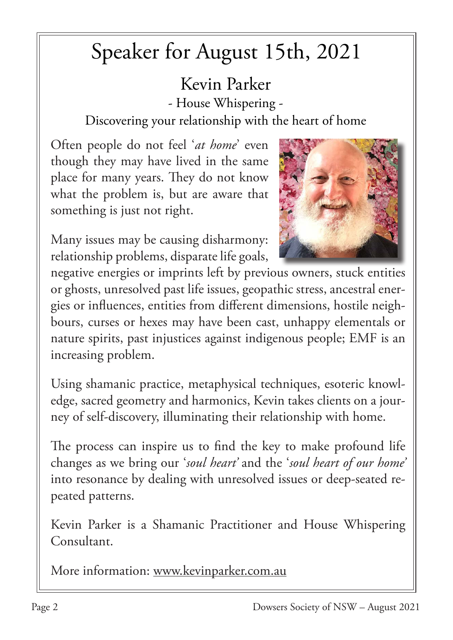# Speaker for August 15th, 2021

Kevin Parker - House Whispering -

Discovering your relationship with the heart of home

Often people do not feel '*at home*' even though they may have lived in the same place for many years. They do not know what the problem is, but are aware that something is just not right.



Many issues may be causing disharmony: relationship problems, disparate life goals,

negative energies or imprints left by previous owners, stuck entities or ghosts, unresolved past life issues, geopathic stress, ancestral energies or influences, entities from different dimensions, hostile neighbours, curses or hexes may have been cast, unhappy elementals or nature spirits, past injustices against indigenous people; EMF is an increasing problem.

Using shamanic practice, metaphysical techniques, esoteric knowledge, sacred geometry and harmonics, Kevin takes clients on a journey of self-discovery, illuminating their relationship with home.

The process can inspire us to find the key to make profound life changes as we bring our '*soul heart'* and the '*soul heart of our home'* into resonance by dealing with unresolved issues or deep-seated repeated patterns.

Kevin Parker is a Shamanic Practitioner and House Whispering Consultant.

More information: www.kevinparker.com.au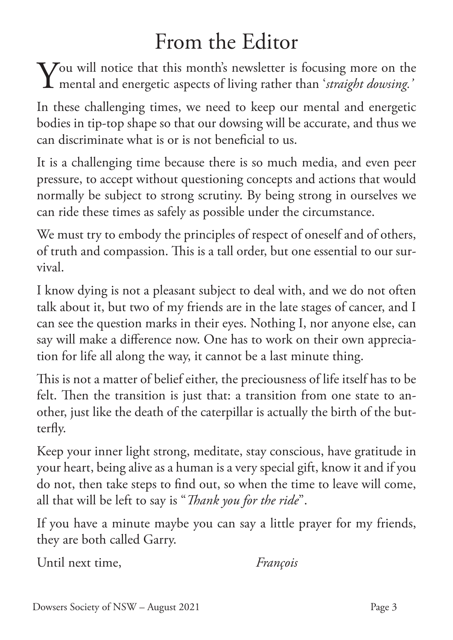### From the Editor

You will notice that this month's newsletter is focusing more on the mental and energetic aspects of living rather than 'straight dowsing.' mental and energetic aspects of living rather than '*straight dowsing.'*

In these challenging times, we need to keep our mental and energetic bodies in tip-top shape so that our dowsing will be accurate, and thus we can discriminate what is or is not beneficial to us.

It is a challenging time because there is so much media, and even peer pressure, to accept without questioning concepts and actions that would normally be subject to strong scrutiny. By being strong in ourselves we can ride these times as safely as possible under the circumstance.

We must try to embody the principles of respect of oneself and of others, of truth and compassion. This is a tall order, but one essential to our survival.

I know dying is not a pleasant subject to deal with, and we do not often talk about it, but two of my friends are in the late stages of cancer, and I can see the question marks in their eyes. Nothing I, nor anyone else, can say will make a difference now. One has to work on their own appreciation for life all along the way, it cannot be a last minute thing.

This is not a matter of belief either, the preciousness of life itself has to be felt. Then the transition is just that: a transition from one state to another, just like the death of the caterpillar is actually the birth of the butterfly.

Keep your inner light strong, meditate, stay conscious, have gratitude in your heart, being alive as a human is a very special gift, know it and if you do not, then take steps to find out, so when the time to leave will come, all that will be left to say is "*Thank you for the ride*".

If you have a minute maybe you can say a little prayer for my friends, they are both called Garry.

Until next time, *François*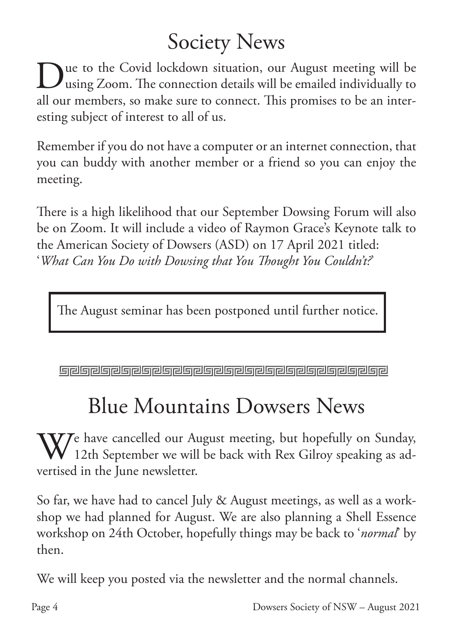# Society News

ue to the Covid lockdown situation, our August meeting will be using Zoom. The connection details will be emailed individually to all our members, so make sure to connect. This promises to be an interesting subject of interest to all of us.

Remember if you do not have a computer or an internet connection, that you can buddy with another member or a friend so you can enjoy the meeting.

There is a high likelihood that our September Dowsing Forum will also be on Zoom. It will include a video of Raymon Grace's Keynote talk to the American Society of Dowsers (ASD) on 17 April 2021 titled: '*What Can You Do with Dowsing that You Thought You Couldn't?*'

The August seminar has been postponed until further notice.

## Blue Mountains Dowsers News

 $\bf V$ Ze have cancelled our August meeting, but hopefully on Sunday,  $\vee$  12th September we will be back with Rex Gilroy speaking as advertised in the June newsletter.

So far, we have had to cancel July & August meetings, as well as a workshop we had planned for August. We are also planning a Shell Essence workshop on 24th October, hopefully things may be back to '*normal*' by then.

We will keep you posted via the newsletter and the normal channels.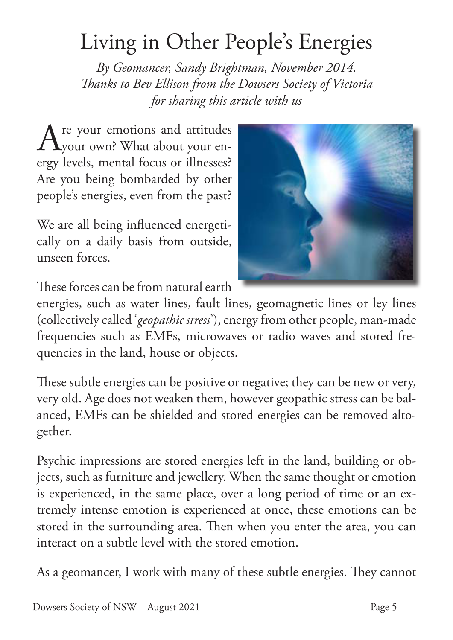### Living in Other People's Energies

*By Geomancer, Sandy Brightman, November 2014. Thanks to Bev Ellison from the Dowsers Society of Victoria for sharing this article with us*

Are your emotions and attitudes your own? What about your energy levels, mental focus or illnesses? Are you being bombarded by other people's energies, even from the past?

We are all being influenced energetically on a daily basis from outside, unseen forces.



These forces can be from natural earth

energies, such as water lines, fault lines, geomagnetic lines or ley lines (collectively called '*geopathic stress*'), energy from other people, man-made frequencies such as EMFs, microwaves or radio waves and stored frequencies in the land, house or objects.

These subtle energies can be positive or negative; they can be new or very, very old. Age does not weaken them, however geopathic stress can be balanced, EMFs can be shielded and stored energies can be removed altogether.

Psychic impressions are stored energies left in the land, building or objects, such as furniture and jewellery. When the same thought or emotion is experienced, in the same place, over a long period of time or an extremely intense emotion is experienced at once, these emotions can be stored in the surrounding area. Then when you enter the area, you can interact on a subtle level with the stored emotion.

As a geomancer, I work with many of these subtle energies. They cannot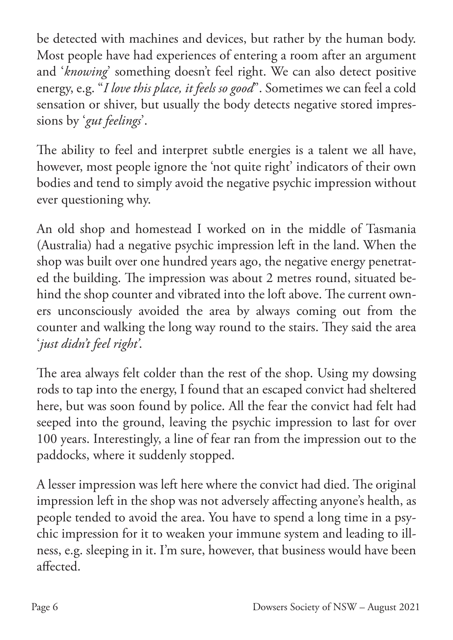be detected with machines and devices, but rather by the human body. Most people have had experiences of entering a room after an argument and '*knowing*' something doesn't feel right. We can also detect positive energy, e.g. "*I love this place, it feels so good*". Sometimes we can feel a cold sensation or shiver, but usually the body detects negative stored impressions by '*gut feelings*'.

The ability to feel and interpret subtle energies is a talent we all have, however, most people ignore the 'not quite right' indicators of their own bodies and tend to simply avoid the negative psychic impression without ever questioning why.

An old shop and homestead I worked on in the middle of Tasmania (Australia) had a negative psychic impression left in the land. When the shop was built over one hundred years ago, the negative energy penetrated the building. The impression was about 2 metres round, situated behind the shop counter and vibrated into the loft above. The current owners unconsciously avoided the area by always coming out from the counter and walking the long way round to the stairs. They said the area '*just didn't feel right'*.

The area always felt colder than the rest of the shop. Using my dowsing rods to tap into the energy, I found that an escaped convict had sheltered here, but was soon found by police. All the fear the convict had felt had seeped into the ground, leaving the psychic impression to last for over 100 years. Interestingly, a line of fear ran from the impression out to the paddocks, where it suddenly stopped.

A lesser impression was left here where the convict had died. The original impression left in the shop was not adversely affecting anyone's health, as people tended to avoid the area. You have to spend a long time in a psychic impression for it to weaken your immune system and leading to illness, e.g. sleeping in it. I'm sure, however, that business would have been affected.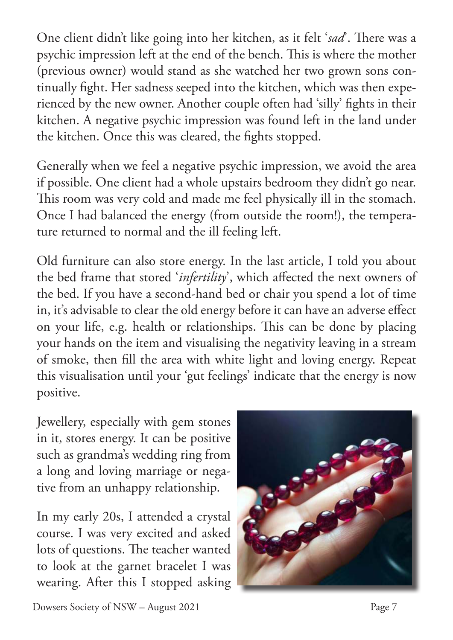One client didn't like going into her kitchen, as it felt '*sad*'. There was a psychic impression left at the end of the bench. This is where the mother (previous owner) would stand as she watched her two grown sons continually fight. Her sadness seeped into the kitchen, which was then experienced by the new owner. Another couple often had 'silly' fights in their kitchen. A negative psychic impression was found left in the land under the kitchen. Once this was cleared, the fights stopped.

Generally when we feel a negative psychic impression, we avoid the area if possible. One client had a whole upstairs bedroom they didn't go near. This room was very cold and made me feel physically ill in the stomach. Once I had balanced the energy (from outside the room!), the temperature returned to normal and the ill feeling left.

Old furniture can also store energy. In the last article, I told you about the bed frame that stored '*infertility*', which affected the next owners of the bed. If you have a second-hand bed or chair you spend a lot of time in, it's advisable to clear the old energy before it can have an adverse effect on your life, e.g. health or relationships. This can be done by placing your hands on the item and visualising the negativity leaving in a stream of smoke, then fill the area with white light and loving energy. Repeat this visualisation until your 'gut feelings' indicate that the energy is now positive.

Jewellery, especially with gem stones in it, stores energy. It can be positive such as grandma's wedding ring from a long and loving marriage or negative from an unhappy relationship.

In my early 20s, I attended a crystal course. I was very excited and asked lots of questions. The teacher wanted to look at the garnet bracelet I was wearing. After this I stopped asking

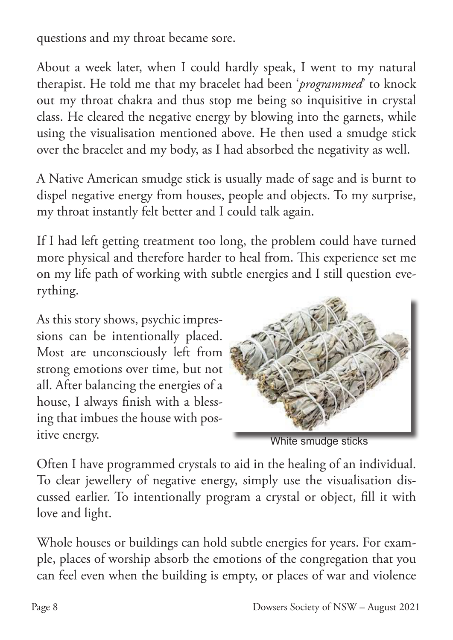questions and my throat became sore.

About a week later, when I could hardly speak, I went to my natural therapist. He told me that my bracelet had been '*programmed*' to knock out my throat chakra and thus stop me being so inquisitive in crystal class. He cleared the negative energy by blowing into the garnets, while using the visualisation mentioned above. He then used a smudge stick over the bracelet and my body, as I had absorbed the negativity as well.

A Native American smudge stick is usually made of sage and is burnt to dispel negative energy from houses, people and objects. To my surprise, my throat instantly felt better and I could talk again.

If I had left getting treatment too long, the problem could have turned more physical and therefore harder to heal from. This experience set me on my life path of working with subtle energies and I still question everything.

As this story shows, psychic impressions can be intentionally placed. Most are unconsciously left from strong emotions over time, but not all. After balancing the energies of a house, I always finish with a blessing that imbues the house with positive energy.



White smudge sticks

Often I have programmed crystals to aid in the healing of an individual. To clear jewellery of negative energy, simply use the visualisation discussed earlier. To intentionally program a crystal or object, fill it with love and light.

Whole houses or buildings can hold subtle energies for years. For example, places of worship absorb the emotions of the congregation that you can feel even when the building is empty, or places of war and violence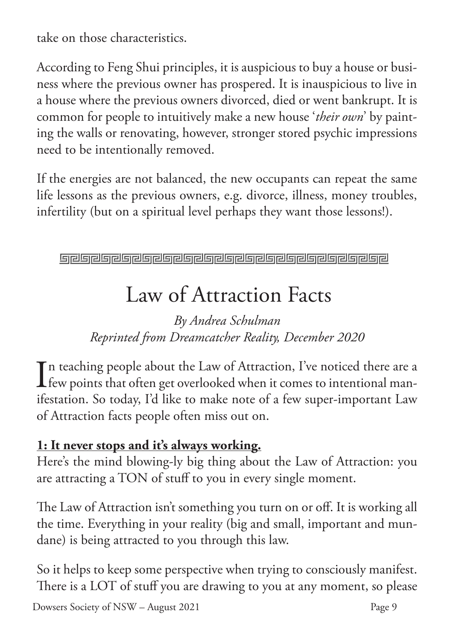take on those characteristics.

According to Feng Shui principles, it is auspicious to buy a house or business where the previous owner has prospered. It is inauspicious to live in a house where the previous owners divorced, died or went bankrupt. It is common for people to intuitively make a new house '*their own*' by painting the walls or renovating, however, stronger stored psychic impressions need to be intentionally removed.

If the energies are not balanced, the new occupants can repeat the same life lessons as the previous owners, e.g. divorce, illness, money troubles, infertility (but on a spiritual level perhaps they want those lessons!).

**Greigreiche Greigreiche Greiferer Ereignehen Ereignehen** 

# Law of Attraction Facts

*By Andrea Schulman Reprinted from Dreamcatcher Reality, December 2020*

I n teaching people about the Law of Attraction, I've noticed there are a few points that often get overlooked when it comes to intentional manifestation. So today, I'd like to make note of a few super-important Law of Attraction facts people often miss out on.

#### **1: It never stops and it's always working.**

Here's the mind blowing-ly big thing about the Law of Attraction: you are attracting a TON of stuff to you in every single moment.

The Law of Attraction isn't something you turn on or off. It is working all the time. Everything in your reality (big and small, important and mundane) is being attracted to you through this law.

So it helps to keep some perspective when trying to consciously manifest. There is a LOT of stuff you are drawing to you at any moment, so please

Dowsers Society of NSW – August 2021 Page 9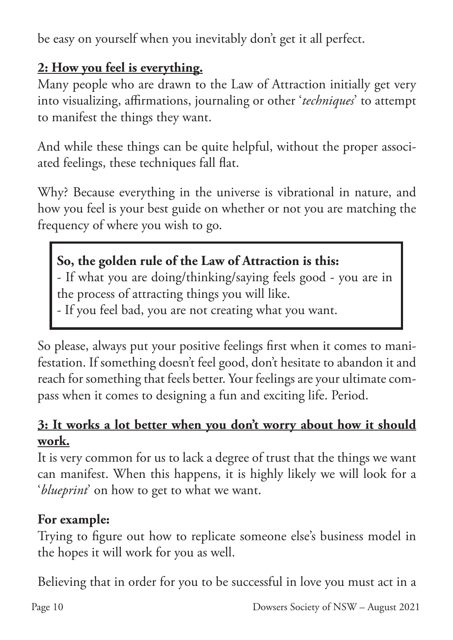be easy on yourself when you inevitably don't get it all perfect.

#### **2: How you feel is everything.**

Many people who are drawn to the Law of Attraction initially get very into visualizing, affirmations, journaling or other '*techniques*' to attempt to manifest the things they want.

And while these things can be quite helpful, without the proper associated feelings, these techniques fall flat.

Why? Because everything in the universe is vibrational in nature, and how you feel is your best guide on whether or not you are matching the frequency of where you wish to go.

### **So, the golden rule of the Law of Attraction is this:**

- If what you are doing/thinking/saying feels good - you are in the process of attracting things you will like.

- If you feel bad, you are not creating what you want.

So please, always put your positive feelings first when it comes to manifestation. If something doesn't feel good, don't hesitate to abandon it and reach for something that feels better. Your feelings are your ultimate compass when it comes to designing a fun and exciting life. Period.

#### **3: It works a lot better when you don't worry about how it should work.**

It is very common for us to lack a degree of trust that the things we want can manifest. When this happens, it is highly likely we will look for a '*blueprint*' on how to get to what we want.

#### **For example:**

Trying to figure out how to replicate someone else's business model in the hopes it will work for you as well.

Believing that in order for you to be successful in love you must act in a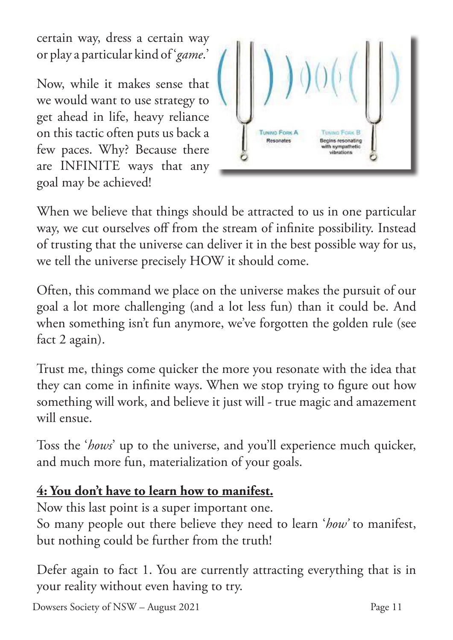certain way, dress a certain way or play a particular kind of '*game*.'

Now, while it makes sense that we would want to use strategy to get ahead in life, heavy reliance on this tactic often puts us back a few paces. Why? Because there are INFINITE ways that any goal may be achieved!



When we believe that things should be attracted to us in one particular way, we cut ourselves off from the stream of infinite possibility. Instead of trusting that the universe can deliver it in the best possible way for us, we tell the universe precisely HOW it should come.

Often, this command we place on the universe makes the pursuit of our goal a lot more challenging (and a lot less fun) than it could be. And when something isn't fun anymore, we've forgotten the golden rule (see fact 2 again).

Trust me, things come quicker the more you resonate with the idea that they can come in infinite ways. When we stop trying to figure out how something will work, and believe it just will - true magic and amazement will ensue.

Toss the '*hows*' up to the universe, and you'll experience much quicker, and much more fun, materialization of your goals.

### **4: You don't have to learn how to manifest.**

Now this last point is a super important one. So many people out there believe they need to learn '*how'* to manifest, but nothing could be further from the truth!

Defer again to fact 1. You are currently attracting everything that is in your reality without even having to try.

Dowsers Society of NSW – August 2021 Page 11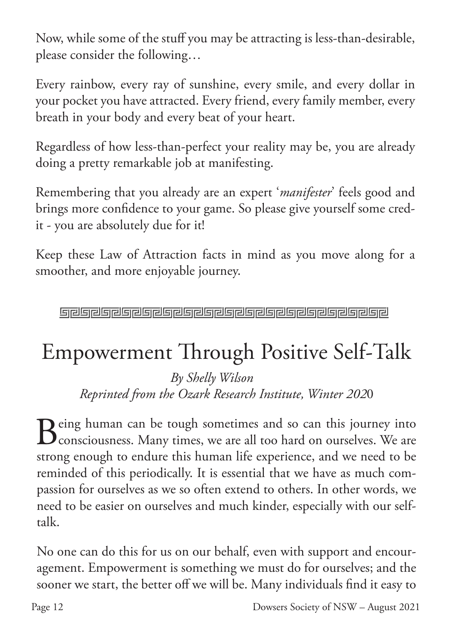Now, while some of the stuff you may be attracting is less-than-desirable, please consider the following…

Every rainbow, every ray of sunshine, every smile, and every dollar in your pocket you have attracted. Every friend, every family member, every breath in your body and every beat of your heart.

Regardless of how less-than-perfect your reality may be, you are already doing a pretty remarkable job at manifesting.

Remembering that you already are an expert '*manifester*' feels good and brings more confidence to your game. So please give yourself some credit - you are absolutely due for it!

Keep these Law of Attraction facts in mind as you move along for a smoother, and more enjoyable journey.

**Greigreiche Greigreiche Greigreiche Greigreiche Greigreich** 

# Empowerment Through Positive Self-Talk

 *By Shelly Wilson Reprinted from the Ozark Research Institute, Winter 202*0

Being human can be tough sometimes and so can this journey into<br>Consciousness. Many times, we are all too hard on ourselves. We are consciousness. Many times, we are all too hard on ourselves. We are strong enough to endure this human life experience, and we need to be reminded of this periodically. It is essential that we have as much compassion for ourselves as we so often extend to others. In other words, we need to be easier on ourselves and much kinder, especially with our selftalk.

No one can do this for us on our behalf, even with support and encouragement. Empowerment is something we must do for ourselves; and the sooner we start, the better off we will be. Many individuals find it easy to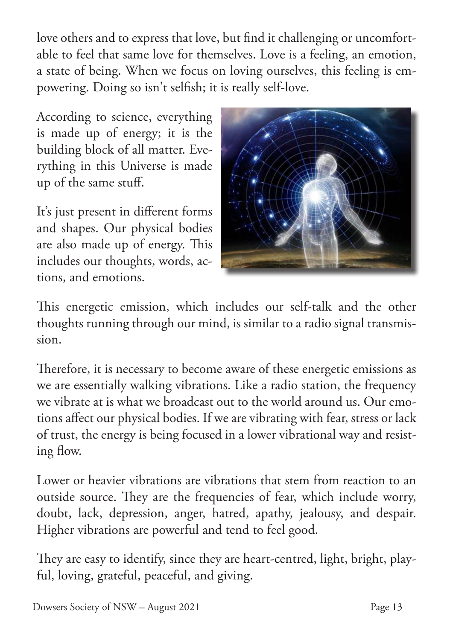love others and to express that love, but find it challenging or uncomfortable to feel that same love for themselves. Love is a feeling, an emotion, a state of being. When we focus on loving ourselves, this feeling is empowering. Doing so isn't selfish; it is really self-love.

According to science, everything is made up of energy; it is the building block of all matter. Everything in this Universe is made up of the same stuff.

It's just present in different forms and shapes. Our physical bodies are also made up of energy. This includes our thoughts, words, actions, and emotions.



This energetic emission, which includes our self-talk and the other thoughts running through our mind, is similar to a radio signal transmission.

Therefore, it is necessary to become aware of these energetic emissions as we are essentially walking vibrations. Like a radio station, the frequency we vibrate at is what we broadcast out to the world around us. Our emotions affect our physical bodies. If we are vibrating with fear, stress or lack of trust, the energy is being focused in a lower vibrational way and resisting flow.

Lower or heavier vibrations are vibrations that stem from reaction to an outside source. They are the frequencies of fear, which include worry, doubt, lack, depression, anger, hatred, apathy, jealousy, and despair. Higher vibrations are powerful and tend to feel good.

They are easy to identify, since they are heart-centred, light, bright, playful, loving, grateful, peaceful, and giving.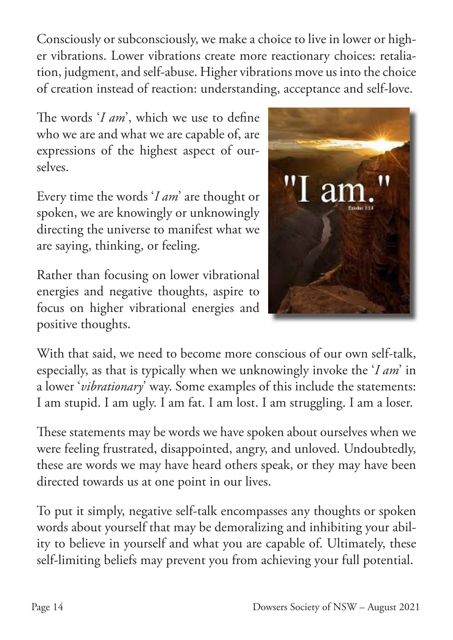Consciously or subconsciously, we make a choice to live in lower or higher vibrations. Lower vibrations create more reactionary choices: retaliation, judgment, and self-abuse. Higher vibrations move us into the choice of creation instead of reaction: understanding, acceptance and self-love.

The words '*I am*', which we use to define who we are and what we are capable of, are expressions of the highest aspect of ourselves.

Every time the words '*I am*' are thought or spoken, we are knowingly or unknowingly directing the universe to manifest what we are saying, thinking, or feeling.

Rather than focusing on lower vibrational energies and negative thoughts, aspire to focus on higher vibrational energies and positive thoughts.



With that said, we need to become more conscious of our own self-talk, especially, as that is typically when we unknowingly invoke the '*I am*' in a lower '*vibrationary*' way. Some examples of this include the statements: I am stupid. I am ugly. I am fat. I am lost. I am struggling. I am a loser.

These statements may be words we have spoken about ourselves when we were feeling frustrated, disappointed, angry, and unloved. Undoubtedly, these are words we may have heard others speak, or they may have been directed towards us at one point in our lives.

To put it simply, negative self-talk encompasses any thoughts or spoken words about yourself that may be demoralizing and inhibiting your ability to believe in yourself and what you are capable of. Ultimately, these self-limiting beliefs may prevent you from achieving your full potential.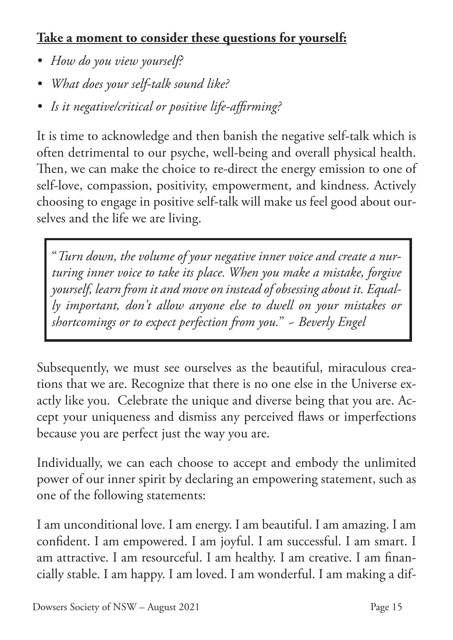### **Take a moment to consider these questions for yourself:**

- *• How do you view yourself?*
- *• What does your self-talk sound like?*
- *• Is it negative/critical or positive life-affirming?*

It is time to acknowledge and then banish the negative self-talk which is often detrimental to our psyche, well-being and overall physical health. Then, we can make the choice to re-direct the energy emission to one of self-love, compassion, positivity, empowerment, and kindness. Actively choosing to engage in positive self-talk will make us feel good about ourselves and the life we are living.

"*Turn down, the volume of your negative inner voice and create a nurturing inner voice to take its place. When you make a mistake, forgive yourself, learn from it and move on instead of obsessing about it. Equally important, don't allow anyone else to dwell on your mistakes or shortcomings or to expect perfection from you.*" ~ *Beverly Engel*

Subsequently, we must see ourselves as the beautiful, miraculous creations that we are. Recognize that there is no one else in the Universe exactly like you. Celebrate the unique and diverse being that you are. Accept your uniqueness and dismiss any perceived flaws or imperfections because you are perfect just the way you are.

Individually, we can each choose to accept and embody the unlimited power of our inner spirit by declaring an empowering statement, such as one of the following statements:

I am unconditional love. I am energy. I am beautiful. I am amazing. I am confident. I am empowered. I am joyful. I am successful. I am smart. I am attractive. I am resourceful. I am healthy. I am creative. I am financially stable. I am happy. I am loved. I am wonderful. I am making a dif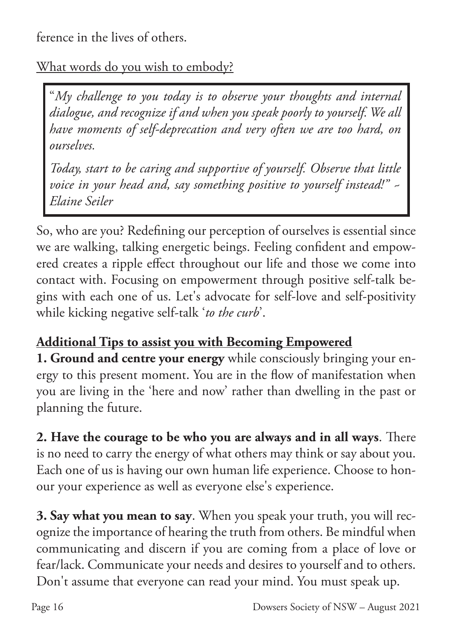ference in the lives of others.

What words do you wish to embody?

"*My challenge to you today is to observe your thoughts and internal dialogue, and recognize if and when you speak poorly to yourself. We all have moments of self-deprecation and very often we are too hard, on ourselves.* 

*Today, start to be caring and supportive of yourself. Observe that little voice in your head and, say something positive to yourself instead!" ~ Elaine Seiler*

So, who are you? Redefining our perception of ourselves is essential since we are walking, talking energetic beings. Feeling confident and empowered creates a ripple effect throughout our life and those we come into contact with. Focusing on empowerment through positive self-talk begins with each one of us. Let's advocate for self-love and self-positivity while kicking negative self-talk '*to the curb*'.

### **Additional Tips to assist you with Becoming Empowered**

**1. Ground and centre your energy** while consciously bringing your energy to this present moment. You are in the flow of manifestation when you are living in the 'here and now' rather than dwelling in the past or planning the future.

**2. Have the courage to be who you are always and in all ways**. There is no need to carry the energy of what others may think or say about you. Each one of us is having our own human life experience. Choose to honour your experience as well as everyone else's experience.

**3. Say what you mean to say**. When you speak your truth, you will recognize the importance of hearing the truth from others. Be mindful when communicating and discern if you are coming from a place of love or fear/lack. Communicate your needs and desires to yourself and to others. Don't assume that everyone can read your mind. You must speak up.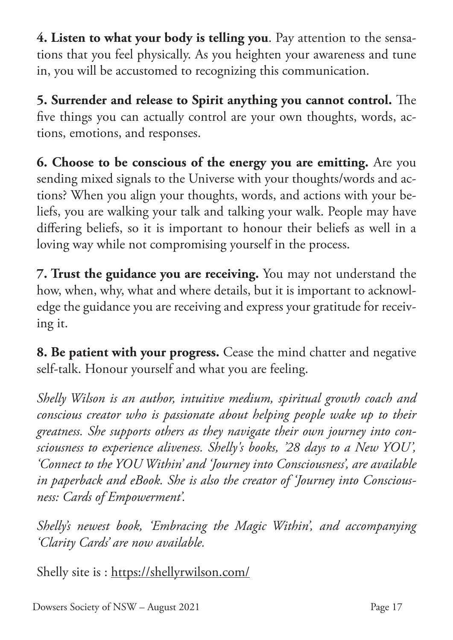**4. Listen to what your body is telling you**. Pay attention to the sensations that you feel physically. As you heighten your awareness and tune in, you will be accustomed to recognizing this communication.

**5. Surrender and release to Spirit anything you cannot control.** The five things you can actually control are your own thoughts, words, actions, emotions, and responses.

**6. Choose to be conscious of the energy you are emitting.** Are you sending mixed signals to the Universe with your thoughts/words and actions? When you align your thoughts, words, and actions with your beliefs, you are walking your talk and talking your walk. People may have differing beliefs, so it is important to honour their beliefs as well in a loving way while not compromising yourself in the process.

**7. Trust the guidance you are receiving.** You may not understand the how, when, why, what and where details, but it is important to acknowledge the guidance you are receiving and express your gratitude for receiving it.

**8. Be patient with your progress.** Cease the mind chatter and negative self-talk. Honour yourself and what you are feeling.

*Shelly Wilson is an author, intuitive medium, spiritual growth coach and conscious creator who is passionate about helping people wake up to their greatness. She supports others as they navigate their own journey into consciousness to experience aliveness. Shelly's books, '28 days to a New YOU', 'Connect to the YOU Within' and 'Journey into Consciousness', are available in paperback and eBook. She is also the creator of 'Journey into Consciousness: Cards of Empowerment'.*

*Shelly's newest book, 'Embracing the Magic Within', and accompanying 'Clarity Cards' are now available.*

Shelly site is : https://shellyrwilson.com/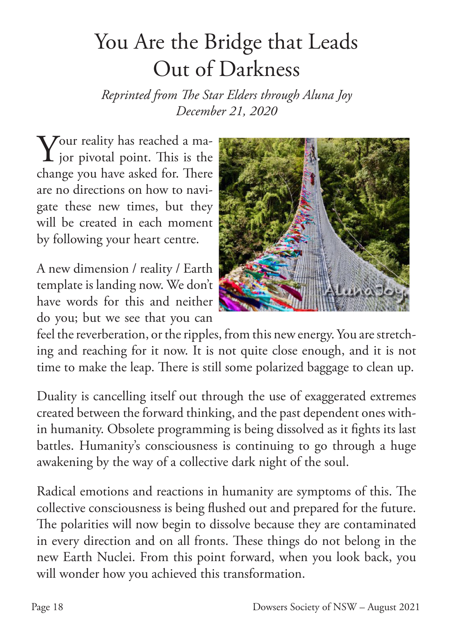# You Are the Bridge that Leads Out of Darkness

*Reprinted from The Star Elders through Aluna Joy December 21, 2020*

 $\bf{Y}$ our reality has reached a major pivotal point. This is the change you have asked for. There are no directions on how to navigate these new times, but they will be created in each moment by following your heart centre.

A new dimension / reality / Earth template is landing now. We don't have words for this and neither do you; but we see that you can



feel the reverberation, or the ripples, from this new energy. You are stretching and reaching for it now. It is not quite close enough, and it is not time to make the leap. There is still some polarized baggage to clean up.

Duality is cancelling itself out through the use of exaggerated extremes created between the forward thinking, and the past dependent ones within humanity. Obsolete programming is being dissolved as it fights its last battles. Humanity's consciousness is continuing to go through a huge awakening by the way of a collective dark night of the soul.

Radical emotions and reactions in humanity are symptoms of this. The collective consciousness is being flushed out and prepared for the future. The polarities will now begin to dissolve because they are contaminated in every direction and on all fronts. These things do not belong in the new Earth Nuclei. From this point forward, when you look back, you will wonder how you achieved this transformation.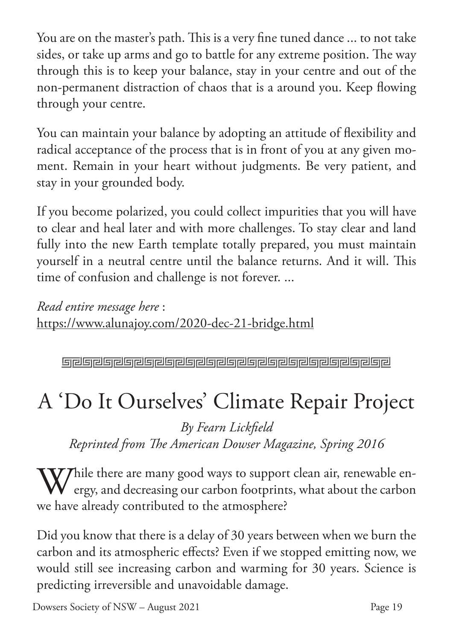You are on the master's path. This is a very fine tuned dance ... to not take sides, or take up arms and go to battle for any extreme position. The way through this is to keep your balance, stay in your centre and out of the non-permanent distraction of chaos that is a around you. Keep flowing through your centre.

You can maintain your balance by adopting an attitude of flexibility and radical acceptance of the process that is in front of you at any given moment. Remain in your heart without judgments. Be very patient, and stay in your grounded body.

If you become polarized, you could collect impurities that you will have to clear and heal later and with more challenges. To stay clear and land fully into the new Earth template totally prepared, you must maintain yourself in a neutral centre until the balance returns. And it will. This time of confusion and challenge is not forever. ...

*Read entire message here* : https://www.alunajoy.com/2020-dec-21-bridge.html

**Greineler er er an den eine Greinen eine Greinen Ereinen Ereinen Ereinen Ereinen Ereinen Ereinen Erein** 

# A 'Do It Ourselves' Climate Repair Project

*By Fearn Lickfield Reprinted from The American Dowser Magazine, Spring 2016*

While there are many good ways to support clean air, renewable en-<br>ergy, and decreasing our carbon footprints, what about the carbon ergy, and decreasing our carbon footprints, what about the carbon we have already contributed to the atmosphere?

Did you know that there is a delay of 30 years between when we burn the carbon and its atmospheric effects? Even if we stopped emitting now, we would still see increasing carbon and warming for 30 years. Science is predicting irreversible and unavoidable damage.

Dowsers Society of NSW – August 2021 Page 19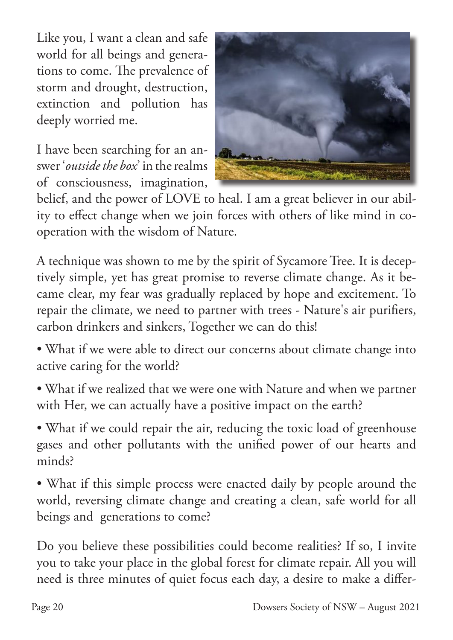Like you, I want a clean and safe world for all beings and generations to come. The prevalence of storm and drought, destruction, extinction and pollution has deeply worried me.

I have been searching for an answer '*outside the box*' in the realms of consciousness, imagination,



belief, and the power of LOVE to heal. I am a great believer in our ability to effect change when we join forces with others of like mind in cooperation with the wisdom of Nature.

A technique was shown to me by the spirit of Sycamore Tree. It is deceptively simple, yet has great promise to reverse climate change. As it became clear, my fear was gradually replaced by hope and excitement. To repair the climate, we need to partner with trees - Nature's air purifiers, carbon drinkers and sinkers, Together we can do this!

- What if we were able to direct our concerns about climate change into active caring for the world?
- What if we realized that we were one with Nature and when we partner with Her, we can actually have a positive impact on the earth?

• What if we could repair the air, reducing the toxic load of greenhouse gases and other pollutants with the unified power of our hearts and minds?

• What if this simple process were enacted daily by people around the world, reversing climate change and creating a clean, safe world for all beings and generations to come?

Do you believe these possibilities could become realities? If so, I invite you to take your place in the global forest for climate repair. All you will need is three minutes of quiet focus each day, a desire to make a differ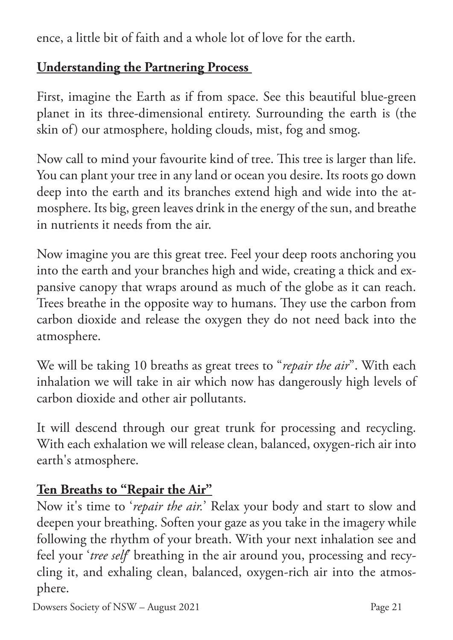ence, a little bit of faith and a whole lot of love for the earth.

#### **Understanding the Partnering Process**

First, imagine the Earth as if from space. See this beautiful blue-green planet in its three-dimensional entirety. Surrounding the earth is (the skin of) our atmosphere, holding clouds, mist, fog and smog.

Now call to mind your favourite kind of tree. This tree is larger than life. You can plant your tree in any land or ocean you desire. Its roots go down deep into the earth and its branches extend high and wide into the atmosphere. Its big, green leaves drink in the energy of the sun, and breathe in nutrients it needs from the air.

Now imagine you are this great tree. Feel your deep roots anchoring you into the earth and your branches high and wide, creating a thick and expansive canopy that wraps around as much of the globe as it can reach. Trees breathe in the opposite way to humans. They use the carbon from carbon dioxide and release the oxygen they do not need back into the atmosphere.

We will be taking 10 breaths as great trees to "*repair the air*". With each inhalation we will take in air which now has dangerously high levels of carbon dioxide and other air pollutants.

It will descend through our great trunk for processing and recycling. With each exhalation we will release clean, balanced, oxygen-rich air into earth's atmosphere.

### **Ten Breaths to "Repair the Air"**

Now it's time to '*repair the air.*' Relax your body and start to slow and deepen your breathing. Soften your gaze as you take in the imagery while following the rhythm of your breath. With your next inhalation see and feel your '*tree self*' breathing in the air around you, processing and recycling it, and exhaling clean, balanced, oxygen-rich air into the atmosphere.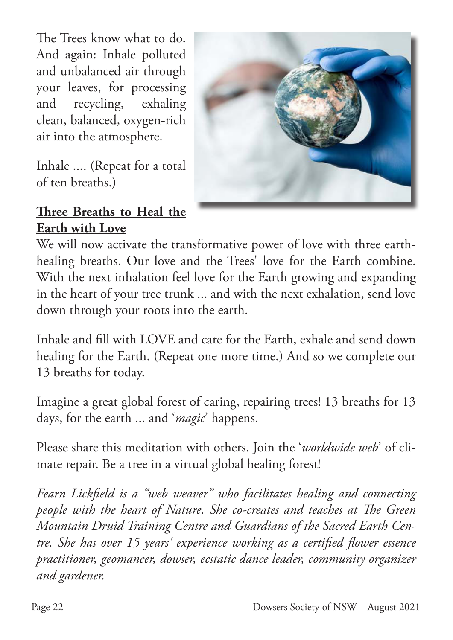The Trees know what to do. And again: Inhale polluted and unbalanced air through your leaves, for processing and recycling, exhaling clean, balanced, oxygen-rich air into the atmosphere.

Inhale .... (Repeat for a total of ten breaths.)



#### **Three Breaths to Heal the Earth with Love**

We will now activate the transformative power of love with three earthhealing breaths. Our love and the Trees' love for the Earth combine. With the next inhalation feel love for the Earth growing and expanding in the heart of your tree trunk ... and with the next exhalation, send love down through your roots into the earth.

Inhale and fill with LOVE and care for the Earth, exhale and send down healing for the Earth. (Repeat one more time.) And so we complete our 13 breaths for today.

Imagine a great global forest of caring, repairing trees! 13 breaths for 13 days, for the earth ... and '*magic*' happens.

Please share this meditation with others. Join the '*worldwide web*' of climate repair. Be a tree in a virtual global healing forest!

*Fearn Lickfield is a "web weaver" who facilitates healing and connecting people with the heart of Nature. She co-creates and teaches at The Green Mountain Druid Training Centre and Guardians of the Sacred Earth Centre. She has over 15 years' experience working as a certified flower essence practitioner, geomancer, dowser, ecstatic dance leader, community organizer and gardener.*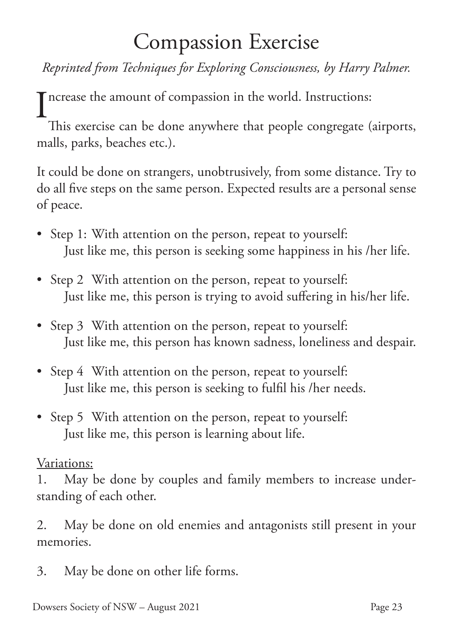### Compassion Exercise

*Reprinted from Techniques for Exploring Consciousness, by Harry Palmer.*

I ncrease the amount of compassion in the world. Instructions:<br>This exercise can be done anywhere that people congregate (

This exercise can be done anywhere that people congregate (airports, malls, parks, beaches etc.).

It could be done on strangers, unobtrusively, from some distance. Try to do all five steps on the same person. Expected results are a personal sense of peace.

- Step 1: With attention on the person, repeat to yourself: Just like me, this person is seeking some happiness in his /her life.
- Step 2 With attention on the person, repeat to yourself: Just like me, this person is trying to avoid suffering in his/her life.
- Step 3 With attention on the person, repeat to yourself: Just like me, this person has known sadness, loneliness and despair.
- Step 4 With attention on the person, repeat to yourself: Just like me, this person is seeking to fulfil his /her needs.
- Step 5 With attention on the person, repeat to yourself: Just like me, this person is learning about life.

#### Variations:

1. May be done by couples and family members to increase understanding of each other.

2. May be done on old enemies and antagonists still present in your memories.

3. May be done on other life forms.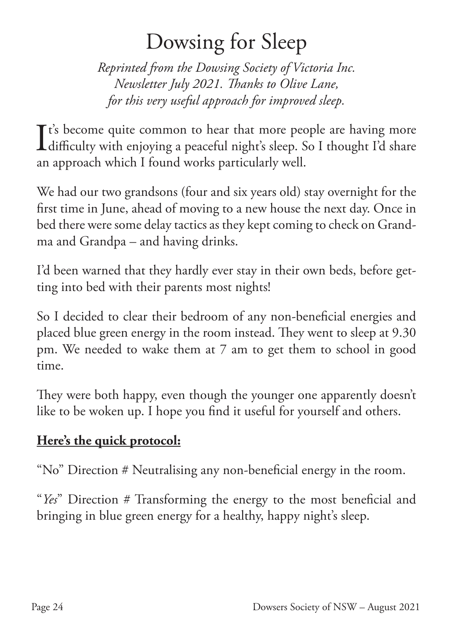### Dowsing for Sleep

*Reprinted from the Dowsing Society of Victoria Inc. Newsletter July 2021. Thanks to Olive Lane, for this very useful approach for improved sleep.*

It's become quite common to hear that more people are having more<br>difficulty with enjoying a peaceful night's sleep. So I thought I'd share difficulty with enjoying a peaceful night's sleep. So I thought I'd share an approach which I found works particularly well.

We had our two grandsons (four and six years old) stay overnight for the first time in June, ahead of moving to a new house the next day. Once in bed there were some delay tactics as they kept coming to check on Grandma and Grandpa – and having drinks.

I'd been warned that they hardly ever stay in their own beds, before getting into bed with their parents most nights!

So I decided to clear their bedroom of any non-beneficial energies and placed blue green energy in the room instead. They went to sleep at 9.30 pm. We needed to wake them at 7 am to get them to school in good time.

They were both happy, even though the younger one apparently doesn't like to be woken up. I hope you find it useful for yourself and others.

### **Here's the quick protocol:**

"No" Direction # Neutralising any non-beneficial energy in the room.

"*Yes*" Direction # Transforming the energy to the most beneficial and bringing in blue green energy for a healthy, happy night's sleep.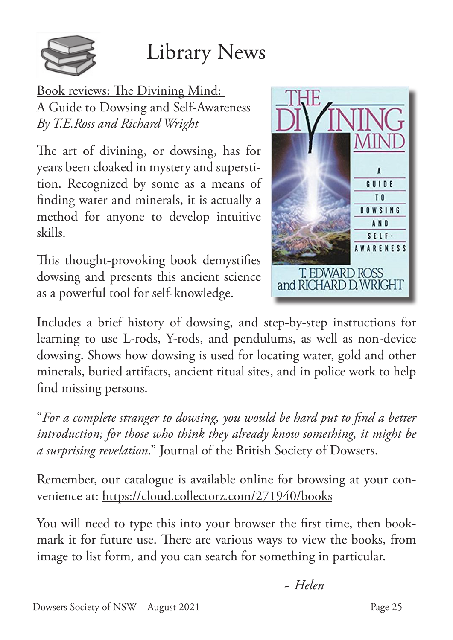

Book reviews: The Divining Mind: A Guide to Dowsing and Self-Awareness *By T.E.Ross and Richard Wright*

The art of divining, or dowsing, has for years been cloaked in mystery and superstition. Recognized by some as a means of finding water and minerals, it is actually a method for anyone to develop intuitive skills.

This thought-provoking book demystifies dowsing and presents this ancient science as a powerful tool for self-knowledge.



Includes a brief history of dowsing, and step-by-step instructions for learning to use L-rods, Y-rods, and pendulums, as well as non-device dowsing. Shows how dowsing is used for locating water, gold and other minerals, buried artifacts, ancient ritual sites, and in police work to help find missing persons.

"*For a complete stranger to dowsing, you would be hard put to find a better introduction; for those who think they already know something, it might be a surprising revelation*." Journal of the British Society of Dowsers.

Remember, our catalogue is available online for browsing at your convenience at: https://cloud.collectorz.com/271940/books

You will need to type this into your browser the first time, then bookmark it for future use. There are various ways to view the books, from image to list form, and you can search for something in particular.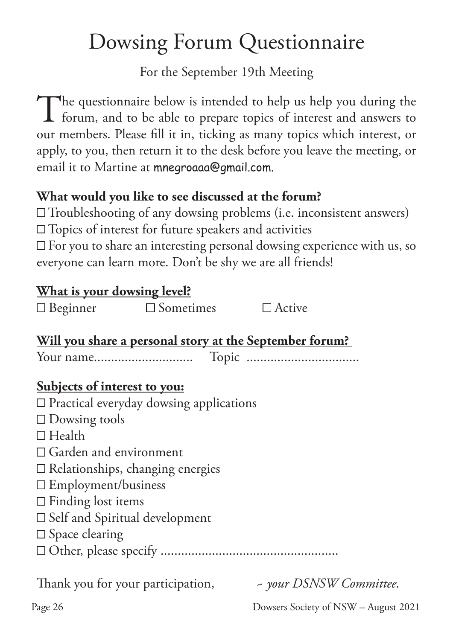# Dowsing Forum Questionnaire

For the September 19th Meeting

The questionnaire below is intended to help us help you during the forum, and to be able to prepare topics of interest and answers to forum, and to be able to prepare topics of interest and answers to our members. Please fill it in, ticking as many topics which interest, or apply, to you, then return it to the desk before you leave the meeting, or email it to Martine at mnegroaaa@gmail.com.

#### **What would you like to see discussed at the forum?**

 $\square$  Troubleshooting of any dowsing problems (i.e. inconsistent answers)

 $\square$  Topics of interest for future speakers and activities

 $\square$  For you to share an interesting personal dowsing experience with us, so everyone can learn more. Don't be shy we are all friends!

#### **What is your dowsing level?**

| $\Box$ Beginner                       | $\square$ Sometimes                            | $\Box$ Active                                                  |
|---------------------------------------|------------------------------------------------|----------------------------------------------------------------|
|                                       |                                                | <u>Will you share a personal story at the September forum?</u> |
|                                       |                                                |                                                                |
| Subjects of interest to you:          |                                                |                                                                |
|                                       | $\Box$ Practical everyday dowsing applications |                                                                |
| $\Box$ Dowsing tools                  |                                                |                                                                |
| $\Box$ Health                         |                                                |                                                                |
| $\Box$ Garden and environment         |                                                |                                                                |
|                                       | $\Box$ Relationships, changing energies        |                                                                |
| $\Box$ Employment/business            |                                                |                                                                |
| $\Box$ Finding lost items             |                                                |                                                                |
| $\Box$ Self and Spiritual development |                                                |                                                                |
| $\square$ Space clearing              |                                                |                                                                |
|                                       |                                                |                                                                |
|                                       |                                                |                                                                |

Thank you for your participation, *~ your DSNSW Committee.*

Page 26 Dowsers Society of NSW – August 2021